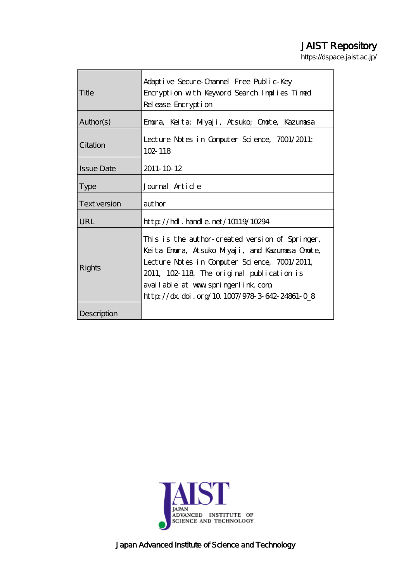# JAIST Repository

https://dspace.jaist.ac.jp/

|                     | Adaptive Secure-Channel Free Public-Key                                                                                                                                                                                                                                                 |
|---------------------|-----------------------------------------------------------------------------------------------------------------------------------------------------------------------------------------------------------------------------------------------------------------------------------------|
| Title               | Encryption with Keyword Search Implies Timed                                                                                                                                                                                                                                            |
|                     | Release Encryption                                                                                                                                                                                                                                                                      |
| Author(s)           | Emura, Keita; Milyaji, Atsuko; Omote, Kazumasa                                                                                                                                                                                                                                          |
| Citation            | Lecture Notes in Computer Science, 7001/2011:<br>$102 - 118$                                                                                                                                                                                                                            |
| <b>Issue Date</b>   | 2011-10 12                                                                                                                                                                                                                                                                              |
| <b>Type</b>         | Journal Article                                                                                                                                                                                                                                                                         |
| <b>Text version</b> | aut hor                                                                                                                                                                                                                                                                                 |
| URL                 | $\frac{1}{2}$ // $\frac{1}{2}$ . $\frac{1}{2}$ and $\frac{1}{2}$ and $\frac{1}{2}$ and $\frac{1}{2}$ and $\frac{1}{2}$                                                                                                                                                                  |
| Rights              | This is the author-created version of Springer,<br>Keita Emura, Atsuko Milyaji, and Kazumasa Omote,<br>Lecture Notes in Computer Science, 7001/2011,<br>2011, 102-118 The original publication is<br>available at www.springerlink.com<br>http://dx.doi.org/10.1007/978-3-642-24861-0_8 |
| Description         |                                                                                                                                                                                                                                                                                         |



Japan Advanced Institute of Science and Technology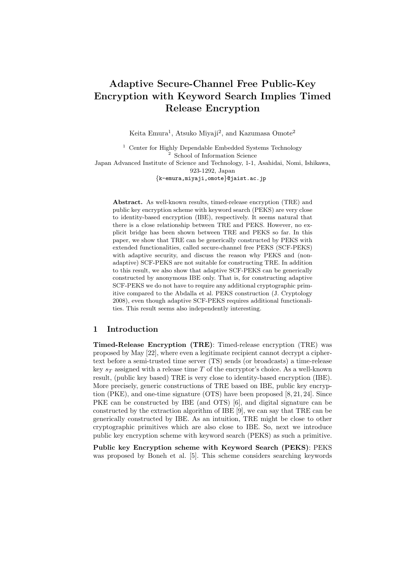## **Adaptive Secure-Channel Free Public-Key Encryption with Keyword Search Implies Timed Release Encryption**

Keita Emura<sup>1</sup>, Atsuko Miyaji<sup>2</sup>, and Kazumasa Omote<sup>2</sup>

<sup>1</sup> Center for Highly Dependable Embedded Systems Technology School of Information Science Japan Advanced Institute of Science and Technology, 1-1, Asahidai, Nomi, Ishikawa, 923-1292, Japan *{*k-emura,miyaji,omote*}*@jaist.ac.jp

Abstract. As well-known results, timed-release encryption (TRE) and public key encryption scheme with keyword search (PEKS) are very close to identity-based encryption (IBE), respectively. It seems natural that there is a close relationship between TRE and PEKS. However, no explicit bridge has been shown between TRE and PEKS so far. In this paper, we show that TRE can be generically constructed by PEKS with extended functionalities, called secure-channel free PEKS (SCF-PEKS) with adaptive security, and discuss the reason why PEKS and (nonadaptive) SCF-PEKS are not suitable for constructing TRE. In addition to this result, we also show that adaptive SCF-PEKS can be generically constructed by anonymous IBE only. That is, for constructing adaptive SCF-PEKS we do not have to require any additional cryptographic primitive compared to the Abdalla et al. PEKS construction (J. Cryptology 2008), even though adaptive SCF-PEKS requires additional functionalities. This result seems also independently interesting.

## **1 Introduction**

**Timed-Release Encryption (TRE)**: Timed-release encryption (TRE) was proposed by May [22], where even a legitimate recipient cannot decrypt a ciphertext before a semi-trusted time server (TS) sends (or broadcasts) a time-release key  $s_T$  assigned with a release time  $T$  of the encryptor's choice. As a well-known result, (public key based) TRE is very close to identity-based encryption (IBE). More precisely, generic constructions of TRE based on IBE, public key encryption (PKE), and one-time signature (OTS) have been proposed [8, 21, 24]. Since PKE can be constructed by IBE (and OTS) [6], and digital signature can be constructed by the extraction algorithm of IBE [9], we can say that TRE can be generically constructed by IBE. As an intuition, TRE might be close to other cryptographic primitives which are also close to IBE. So, next we introduce public key encryption scheme with keyword search (PEKS) as such a primitive.

**Public key Encryption scheme with Keyword Search (PEKS)**: PEKS was proposed by Boneh et al. [5]. This scheme considers searching keywords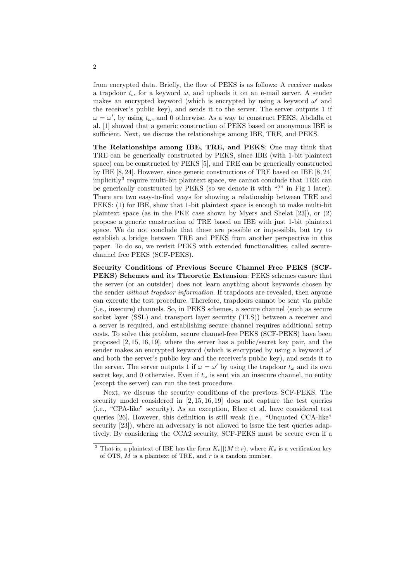from encrypted data. Briefly, the flow of PEKS is as follows: A receiver makes a trapdoor  $t_{\omega}$  for a keyword  $\omega$ , and uploads it on an e-mail server. A sender makes an encrypted keyword (which is encrypted by using a keyword *ω ′* and the receiver's public key), and sends it to the server. The server outputs 1 if  $\omega = \omega'$ , by using  $t_{\omega}$ , and 0 otherwise. As a way to construct PEKS, Abdalla et al. [1] showed that a generic construction of PEKS based on anonymous IBE is sufficient. Next, we discuss the relationships among IBE, TRE, and PEKS.

**The Relationships among IBE, TRE, and PEKS**: One may think that TRE can be generically constructed by PEKS, since IBE (with 1-bit plaintext space) can be constructed by PEKS [5], and TRE can be generically constructed by IBE [8, 24]. However, since generic constructions of TRE based on IBE [8, 24] implicitly<sup>3</sup> require multi-bit plaintext space, we cannot conclude that TRE can be generically constructed by PEKS (so we denote it with "?" in Fig 1 later). There are two easy-to-find ways for showing a relationship between TRE and PEKS: (1) for IBE, show that 1-bit plaintext space is enough to make multi-bit plaintext space (as in the PKE case shown by Myers and Shelat [23]), or (2) propose a generic construction of TRE based on IBE with just 1-bit plaintext space. We do not conclude that these are possible or impossible, but try to establish a bridge between TRE and PEKS from another perspective in this paper. To do so, we revisit PEKS with extended functionalities, called securechannel free PEKS (SCF-PEKS).

**Security Conditions of Previous Secure Channel Free PEKS (SCF-PEKS) Schemes and its Theoretic Extension**: PEKS schemes ensure that the server (or an outsider) does not learn anything about keywords chosen by the sender *without trapdoor information*. If trapdoors are revealed, then anyone can execute the test procedure. Therefore, trapdoors cannot be sent via public (i.e., insecure) channels. So, in PEKS schemes, a secure channel (such as secure socket layer (SSL) and transport layer security (TLS)) between a receiver and a server is required, and establishing secure channel requires additional setup costs. To solve this problem, secure channel-free PEKS (SCF-PEKS) have been proposed [2, 15, 16, 19], where the server has a public/secret key pair, and the sender makes an encrypted keyword (which is encrypted by using a keyword *ω ′* and both the server's public key and the receiver's public key), and sends it to the server. The server outputs 1 if  $\omega = \omega'$  by using the trapdoor  $t_{\omega}$  and its own secret key, and 0 otherwise. Even if  $t_{\omega}$  is sent via an insecure channel, no entity (except the server) can run the test procedure.

Next, we discuss the security conditions of the previous SCF-PEKS. The security model considered in [2, 15, 16, 19] does not capture the test queries (i.e., "CPA-like" security). As an exception, Rhee et al. have considered test queries [26]. However, this definition is still weak (i.e., "Unquoted CCA-like" security  $[23]$ , where an adversary is not allowed to issue the test queries adaptively. By considering the CCA2 security, SCF-PEKS must be secure even if a

<sup>&</sup>lt;sup>3</sup> That is, a plaintext of IBE has the form  $K_v||(M \oplus r)$ , where  $K_v$  is a verification key of OTS, *M* is a plaintext of TRE, and *r* is a random number.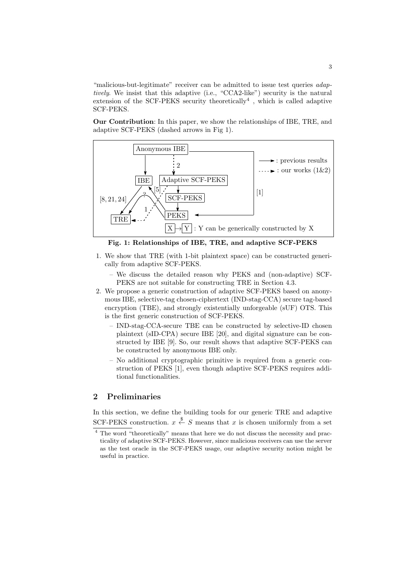"malicious-but-legitimate" receiver can be admitted to issue test queries *adaptively*. We insist that this adaptive (i.e., "CCA2-like") security is the natural extension of the SCF-PEKS security theoretically<sup>4</sup>, which is called adaptive SCF-PEKS.

**Our Contribution**: In this paper, we show the relationships of IBE, TRE, and adaptive SCF-PEKS (dashed arrows in Fig 1).



**Fig. 1: Relationships of IBE, TRE, and adaptive SCF-PEKS**

- 1. We show that TRE (with 1-bit plaintext space) can be constructed generically from adaptive SCF-PEKS.
	- We discuss the detailed reason why PEKS and (non-adaptive) SCF-PEKS are not suitable for constructing TRE in Section 4.3.
- 2. We propose a generic construction of adaptive SCF-PEKS based on anonymous IBE, selective-tag chosen-ciphertext (IND-stag-CCA) secure tag-based encryption (TBE), and strongly existentially unforgeable (sUF) OTS. This is the first generic construction of SCF-PEKS.
	- IND-stag-CCA-secure TBE can be constructed by selective-ID chosen plaintext (sID-CPA) secure IBE [20], and digital signature can be constructed by IBE [9]. So, our result shows that adaptive SCF-PEKS can be constructed by anonymous IBE only.
	- No additional cryptographic primitive is required from a generic construction of PEKS [1], even though adaptive SCF-PEKS requires additional functionalities.

## **2 Preliminaries**

In this section, we define the building tools for our generic TRE and adaptive SCF-PEKS construction.  $x \stackrel{\$}{\leftarrow} S$  means that  $x$  is chosen uniformly from a set

<sup>4</sup> The word "theoretically" means that here we do not discuss the necessity and practicality of adaptive SCF-PEKS. However, since malicious receivers can use the server as the test oracle in the SCF-PEKS usage, our adaptive security notion might be useful in practice.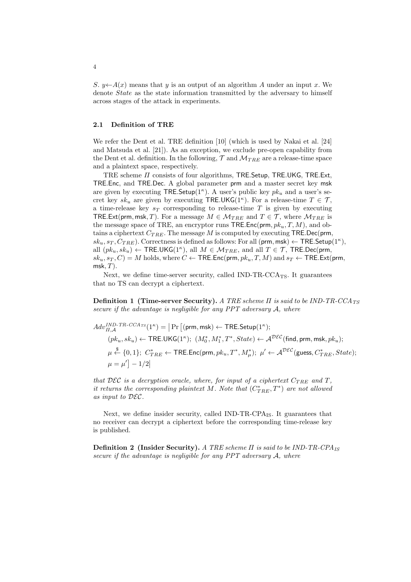*S*. *y*← $A(x)$  means that *y* is an output of an algorithm *A* under an input *x*. We denote *State* as the state information transmitted by the adversary to himself across stages of the attack in experiments.

## **2.1 Definition of TRE**

We refer the Dent et al. TRE definition [10] (which is used by Nakai et al. [24] and Matsuda et al. [21]). As an exception, we exclude pre-open capability from the Dent et al. definition. In the following,  $\mathcal{T}$  and  $\mathcal{M}_{TRE}$  are a release-time space and a plaintext space, respectively.

TRE scheme *Π* consists of four algorithms, TRE*.*Setup, TRE*.*UKG, TRE*.*Ext, TRE*.*Enc, and TRE*.*Dec. A global parameter prm and a master secret key msk are given by executing TRE*.*Setup(1*<sup>κ</sup>* ). A user's public key *pk<sup>u</sup>* and a user's secret key  $sk_u$  are given by executing TRE.UKG(1<sup>*κ*</sup>). For a release-time  $T \in \mathcal{T}$ , a time-release key  $s_T$  corresponding to release-time  $T$  is given by executing TRE Ext(prm, msk, T). For a message  $M \in \mathcal{M}_{TBE}$  and  $T \in \mathcal{T}$ , where  $\mathcal{M}_{TBE}$  is the message space of TRE, an encryptor runs TRE*.*Enc(prm*, pku, T, M*), and obtains a ciphertext *CT RE*. The message *M* is computed by executing TRE*.*Dec(prm*,*  $sk_u, s_T, C_{TRE}$ ). Correctness is defined as follows: For all  $(\text{prm}, \text{msk}) \leftarrow \text{TRE}.\textsf{Setup}(1^{\kappa}),$ all  $(pk_u, sk_u) \leftarrow \text{TRE.UKG}(1^{\kappa})$ , all  $M \in \mathcal{M}_{TRE}$ , and all  $T \in \mathcal{T}$ , TRE*.*Dec(prm,  $sk_u, s_T, C$ ) = *M* holds, where  $C \leftarrow \text{TRE}$ *.Enc(prm,*  $pk_u, T, M$ *)* and  $s_T \leftarrow \text{TRE}$ *.Ext(prm,* msk*, T*).

Next, we define time-server security, called  $IND-TR-CCA_{TS}$ . It guarantees that no TS can decrypt a ciphertext.

**Definition 1 (Time-server Security).** *A TRE scheme Π is said to be IND-TR-CCATS secure if the advantage is negligible for any PPT adversary A, where*

$$
Adv_{\Pi,\mathcal{A}}^{IND-TR-CCA_{TS}}(1^{\kappa}) = |\Pr [(\mathsf{prm}, \mathsf{msk}) \leftarrow \mathsf{TRE}.\mathsf{Setup}(1^{\kappa});
$$
  
\n
$$
(pk_u, sk_u) \leftarrow \mathsf{TRE}.\mathsf{UKG}(1^{\kappa}); (M_0^*, M_1^*, T^*, State) \leftarrow \mathcal{A}^{\mathcal{DEC}}(\mathsf{find}, \mathsf{prm}, \mathsf{msk}, pk_u);
$$
  
\n
$$
\mu \stackrel{\$}{\leftarrow} \{0, 1\}; C_{TRE}^* \leftarrow \mathsf{TRE}.\mathsf{Enc}(\mathsf{prm}, pk_u, T^*, M_\mu^*); \ \mu' \leftarrow \mathcal{A}^{\mathcal{DEC}}(\mathsf{guess}, C_{TRE}^*, State);
$$
  
\n
$$
\mu = \mu'] - 1/2|
$$

*that*  $\mathcal{DEC}$  *is a decryption oracle, where, for input of a ciphertext*  $C_{TRE}$  *and*  $T$ *, it returns the corresponding plaintext M. Note that*  $(C_{TRE}^*, T^*)$  *are not allowed as input to DEC.*

Next, we define insider security, called IND-TR-CPA<sub>IS</sub>. It guarantees that no receiver can decrypt a ciphertext before the corresponding time-release key is published.

**Definition 2 (Insider Security).** *A TRE scheme Π is said to be IND-TR-CPAIS secure if the advantage is negligible for any PPT adversary A, where*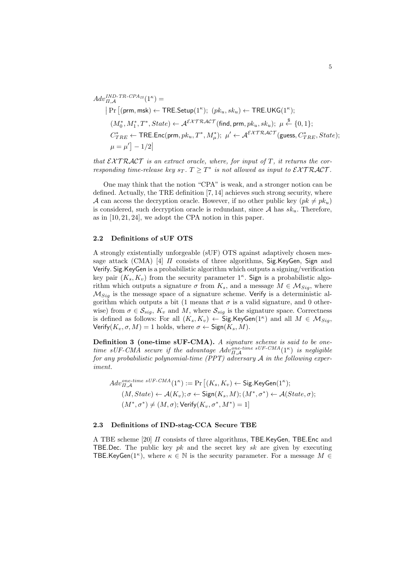$$
Adv_{\Pi,A}^{IND-TR\text{-}\mathit{CPA}_{IS}}(1^{\kappa}) =
$$
\n
$$
|\Pr[(\mathsf{prm}, \mathsf{msk}) \leftarrow \mathsf{TRE}.\mathsf{Setup}(1^{\kappa}); \ (\mathit{pk}_{u}, \mathit{sk}_{u}) \leftarrow \mathsf{TRE}.\mathsf{UKG}(1^{\kappa});
$$
\n
$$
(M_0^*, M_1^*, T^*, State) \leftarrow \mathcal{A}^{\mathcal{EXTRACT}}(\mathsf{find}, \mathsf{prm}, \mathit{pk}_{u}, \mathit{sk}_{u}); \ \mu \stackrel{\$}{\leftarrow} \{0, 1\};
$$
\n
$$
C_{TRE}^* \leftarrow \mathsf{TRE}.\mathsf{Enc}(\mathsf{prm}, \mathit{pk}_{u}, T^*, M_{\mu}^*); \ \mu' \leftarrow \mathcal{A}^{\mathcal{EXTRACT}}(\mathsf{guess}, C_{TRE}^*, State);
$$
\n
$$
\mu = \mu' \big] - 1/2|
$$

*that*  $\mathcal{E} \mathcal{X} \mathcal{T} \mathcal{R} \mathcal{A} \mathcal{C} \mathcal{T}$  *is an extract oracle, where, for input of*  $T$ *, it returns the corresponding time-release key*  $s_T$ .  $T \geq T^*$  *is not allowed as input to*  $\mathcal{E} \mathcal{X} \mathcal{T} \mathcal{R} \mathcal{A} \mathcal{C} \mathcal{T}$ .

One may think that the notion "CPA" is weak, and a stronger notion can be defined. Actually, the TRE definition [7, 14] achieves such strong security, where *A* can access the decryption oracle. However, if no other public key  $(pk \neq pk_u)$ is considered, such decryption oracle is redundant, since *A* has *sku*. Therefore, as in [10, 21, 24], we adopt the CPA notion in this paper.

### **2.2 Definitions of sUF OTS**

A strongly existentially unforgeable (sUF) OTS against adaptively chosen message attack (CMA) [4] *Π* consists of three algorithms, Sig*.*KeyGen, Sign and Verify. Sig.KeyGen is a probabilistic algorithm which outputs a signing/verification key pair  $(K_s, K_v)$  from the security parameter  $1<sup>\kappa</sup>$ . Sign is a probabilistic algorithm which outputs a signature  $\sigma$  from  $K_s$ , and a message  $M \in \mathcal{M}_{\text{Sig}}$ , where *MSig* is the message space of a signature scheme. Verify is a deterministic algorithm which outputs a bit (1 means that  $\sigma$  is a valid signature, and 0 otherwise) from  $\sigma \in \mathcal{S}_{sig}$ ,  $K_v$  and M, where  $\mathcal{S}_{sig}$  is the signature space. Correctness is defined as follows: For all  $(K_s, K_v) \leftarrow \textsf{Sig}.\textsf{KeyGen}(1^\kappa)$  and all  $M \in \mathcal{M}_{Sig},$  $\mathsf{Verify}(K_v, \sigma, M) = 1$  holds, where  $\sigma \leftarrow \mathsf{Sign}(K_s, M)$ .

**Definition 3 (one-time sUF-CMA).** *A signature scheme is said to be onetime sUF-CMA secure if the advantage*  $Adv_{H,\mathcal{A}}^{one-time \,sUF-CMA}(1^{\kappa})$  *is negligible for any probabilistic polynomial-time (PPT) adversary A in the following experiment.*

$$
Adv_{\Pi,\mathcal{A}}^{one-time \ sUF-CMA}(1^{\kappa}) := \Pr\left[(K_s, K_v) \leftarrow \text{Sig.KeyGen}(1^{\kappa});
$$
  

$$
(M, State) \leftarrow \mathcal{A}(K_v); \sigma \leftarrow \text{Sign}(K_s, M); (M^*, \sigma^*) \leftarrow \mathcal{A}(State, \sigma);
$$
  

$$
(M^*, \sigma^*) \neq (M, \sigma); \text{Verify}(K_v, \sigma^*, M^*) = 1\right]
$$

#### **2.3 Definitions of IND-stag-CCA Secure TBE**

A TBE scheme [20] *Π* consists of three algorithms, TBE*.*KeyGen, TBE*.*Enc and TBE*.*Dec. The public key *pk* and the secret key *sk* are given by executing TBE.KeyGen( $1^{\kappa}$ ), where  $\kappa \in \mathbb{N}$  is the security parameter. For a message  $M \in$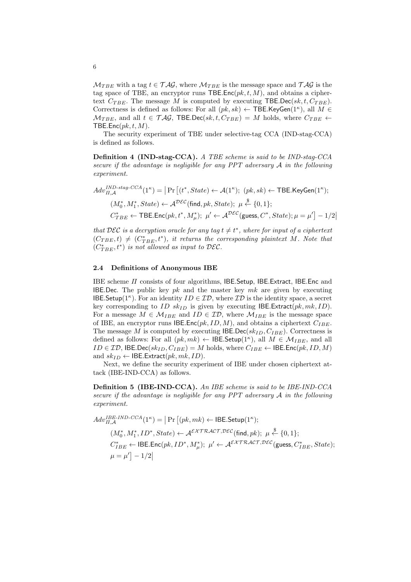$M_{TBE}$  with a tag  $t \in \mathcal{TAG}$ , where  $M_{TBE}$  is the message space and  $\mathcal{TAG}$  is the tag space of TBE, an encryptor runs  $\mathsf{TBE}.\mathsf{Enc}(pk, t, M)$ , and obtains a ciphertext  $C_{TBE}$ . The message *M* is computed by executing TBE.Dec( $sk, t, C_{TBE}$ ). Correctness is defined as follows: For all  $(pk, sk) \leftarrow$  TBE.KeyGen(1<sup>*k*</sup>), all  $M \in$  $M_{TBE}$ , and all  $t \in \mathcal{TAG}$ , TBE*.Dec(sk, t, C<sub>TBE</sub>)* = *M* holds, where  $C_{TBE}$   $\leftarrow$ TBE*.*Enc(*pk, t, M*).

The security experiment of TBE under selective-tag CCA (IND-stag-CCA) is defined as follows.

**Definition 4 (IND-stag-CCA).** *A TBE scheme is said to be IND-stag-CCA secure if the advantage is negligible for any PPT adversary A in the following experiment.*

$$
Adv_{\Pi,\mathcal{A}}^{IND\text{-}stag\text{-}CCA}(1^{\kappa}) = |\Pr\left[(t^*,State) \leftarrow \mathcal{A}(1^{\kappa}); (pk, sk) \leftarrow \text{TBE.KeyGen}(1^{\kappa});
$$
  

$$
(M_0^*, M_1^*, State) \leftarrow \mathcal{A}^{DEC}(\text{find}, pk, State); \ \mu \stackrel{\$}{\leftarrow} \{0, 1\};
$$
  

$$
C_{TBE}^* \leftarrow \text{TBE.Enc}(pk, t^*, M_{\mu}^*); \ \mu' \leftarrow \mathcal{A}^{DEC}(\text{guess}, C^*, State); \mu = \mu'] - 1/2
$$

*that*  $\mathcal{DEC}$  *is a decryption oracle for any tag*  $t \neq t^*$ , where for input of a ciphertext  $(C_{TBE}, t) \neq (C_{TBE}^*, t^*)$ , it returns the corresponding plaintext M. Note that  $(C_{TBE}^*, t^*)$  *is not allowed as input to*  $\mathcal{DEC}.$ 

#### **2.4 Definitions of Anonymous IBE**

IBE scheme *Π* consists of four algorithms, IBE*.*Setup, IBE*.*Extract, IBE*.*Enc and IBE*.*Dec. The public key *pk* and the master key *mk* are given by executing IBE. Setup( $1^{\kappa}$ ). For an identity  $ID \in \mathcal{ID}$ , where  $\mathcal{ID}$  is the identity space, a secret key corresponding to *ID sk<sub>ID</sub>* is given by executing IBE. Extract( $pk, mk, ID$ ). For a message  $M \in \mathcal{M}_{IBE}$  and  $ID \in \mathcal{ID}$ , where  $\mathcal{M}_{IBE}$  is the message space of IBE, an encryptor runs IBE.Enc( $pk$ ,  $ID$ ,  $M$ ), and obtains a ciphertext  $C_{IBE}$ . The message *M* is computed by executing IBE*.*Dec(*skID, CIBE*). Correctness is defined as follows: For all  $(pk, mk) \leftarrow \textsf{IDE}.\textsf{Setup}(1^{\kappa}),$  all  $M \in \mathcal{M}_{IBE}$ , and all *ID*  $∈$  *ID*, **IBE**.Dec( $sk_{ID}$ ,  $C_{IBE}$ ) = *M* holds, where  $C_{IBE}$   $←$  **IBE.Enc**( $pk$ , *ID*, *M*) and  $sk_{ID} \leftarrow \text{IBE.Extract}(pk, mk, ID)$ .

Next, we define the security experiment of IBE under chosen ciphertext attack (IBE-IND-CCA) as follows.

**Definition 5 (IBE-IND-CCA).** *An IBE scheme is said to be IBE-IND-CCA secure if the advantage is negligible for any PPT adversary A in the following experiment.*

$$
Adv_{\Pi,\mathcal{A}}^{IBE\text{-}IND\text{-}CCA}(1^{\kappa}) = |\Pr [(pk,mk) \leftarrow \text{IBE}\text{-}Setup(1^{\kappa});
$$
  

$$
(M_0^*, M_1^*, ID^*, State) \leftarrow \mathcal{A}^{\mathcal{EXTRACT}, \mathcal{DEC}}(\text{find}, pk); \ \mu \stackrel{\$}{\leftarrow} \{0, 1\};
$$
  

$$
C_{IBE}^* \leftarrow \text{IBE}\text{-}Enc(pk, ID^*, M_{\mu}^*); \ \mu' \leftarrow \mathcal{A}^{\mathcal{EXTRACT}, \mathcal{DEC}}(\text{guess}, C_{IBE}^*, State);
$$
  

$$
\mu = \mu' \bigg] - 1/2|
$$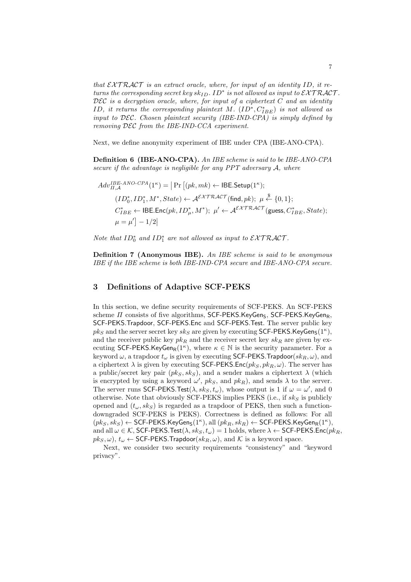*that*  $\mathcal{E} \mathcal{X} \mathcal{T} \mathcal{R} \mathcal{A} \mathcal{C} \mathcal{T}$  *is an extract oracle, where, for input of an identity* ID, it re*turns the corresponding secret key*  $sk_{ID}$ *.*  $ID^*$  *is not allowed as input to*  $\mathcal{EXTRACT}$ *. DEC is a decryption oracle, where, for input of a ciphertext C and an identity ID, it returns the corresponding plaintext M.*  $(ID^*, C^*_{IBE})$  *is not allowed as input to DEC. Chosen plaintext security (IBE-IND-CPA) is simply defined by removing DEC from the IBE-IND-CCA experiment.*

Next, we define anonymity experiment of IBE under CPA (IBE-ANO-CPA).

**Definition 6 (IBE-ANO-CPA).** *An IBE scheme is said to be IBE-ANO-CPA secure if the advantage is negligible for any PPT adversary A, where*

$$
Adv_{\Pi,\mathcal{A}}^{IBE-ANO-CPA}(1^{\kappa}) = |\Pr [(pk,mk) \leftarrow \mathsf{IBE}.\mathsf{Setup}(1^{\kappa});
$$
  

$$
(ID_0^*, ID_1^*, M^*, State) \leftarrow \mathcal{A}^{\mathcal{EXTRACT}}(\text{find}, pk); \mu \stackrel{\$}{\leftarrow} \{0, 1\};
$$
  

$$
C_{IBE}^* \leftarrow \mathsf{IBE}.\mathsf{Enc}(pk, ID_\mu^*, M^*); \ \mu' \leftarrow \mathcal{A}^{\mathcal{EXTRACT}}(\text{guess}, C_{IBE}^*, State);
$$
  

$$
\mu = \mu' \right] - 1/2|
$$

*Note that*  $ID_0^*$  *and*  $ID_1^*$  *are not allowed as input to*  $\mathcal{EXTRACT}$ *.* 

**Definition 7 (Anonymous IBE).** *An IBE scheme is said to be anonymous IBE if the IBE scheme is both IBE-IND-CPA secure and IBE-ANO-CPA secure.*

#### **3 Definitions of Adaptive SCF-PEKS**

In this section, we define security requirements of SCF-PEKS. An SCF-PEKS scheme *Π* consists of five algorithms, SCF-PEKS.KeyGen<sub>S</sub>, SCF-PEKS.KeyGen<sub>R</sub>, SCF-PEKS*.*Trapdoor, SCF-PEKS*.*Enc and SCF-PEKS*.*Test. The server public key  $pk_S$  and the server secret key  $sk_S$  are given by executing SCF-PEKS.KeyGen<sub>S</sub>(1<sup>*κ*</sup>), and the receiver public key  $pk_R$  and the receiver secret key  $sk_R$  are given by executing SCF-PEKS.KeyGen<sub>R</sub>(1<sup>*κ*</sup>), where  $\kappa \in \mathbb{N}$  is the security parameter. For a keyword  $\omega$ , a trapdoor  $t_{\omega}$  is given by executing SCF-PEKS. Trapdoor( $sk_R, \omega$ ), and a ciphertext  $\lambda$  is given by executing SCF-PEKS. Enc $(pk_S, pk_R, \omega)$ . The server has a public/secret key pair  $(pk_S, sk_S)$ , and a sender makes a ciphertext  $\lambda$  (which is encrypted by using a keyword  $\omega'$ ,  $pk_S$ , and  $pk_R$ ), and sends  $\lambda$  to the server. The server runs SCF-PEKS.Test( $\lambda, sk_S, t_\omega$ ), whose output is 1 if  $\omega = \omega'$ , and 0 otherwise. Note that obviously SCF-PEKS implies PEKS (i.e., if *sk<sup>S</sup>* is publicly opened and  $(t_{\omega}, sk_S)$  is regarded as a trapdoor of PEKS, then such a functiondowngraded SCF-PEKS is PEKS). Correctness is defined as follows: For all  $(pk_S, sk_S) \leftarrow$  SCF-PEKS.KeyGen<sub>S</sub>(1<sup>*κ*</sup>), all  $(pk_R, sk_R) \leftarrow$  SCF-PEKS.KeyGen<sub>R</sub>(1<sup>*κ*</sup>), and all  $\omega \in \mathcal{K}$ , SCF-PEKS.Test $(\lambda, sk_S, t_\omega) = 1$  holds, where  $\lambda \leftarrow$  SCF-PEKS.Enc $(pk_R,$  $pk_S, \omega$ ,  $t_\omega \leftarrow$  SCF-PEKS. Trapdoor( $sk_R, \omega$ ), and  $K$  is a keyword space.

Next, we consider two security requirements "consistency" and "keyword privacy".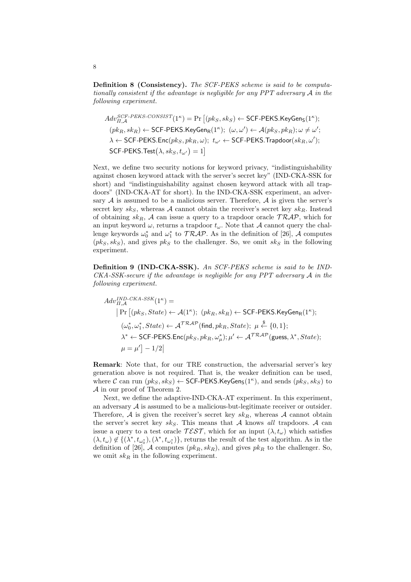**Definition 8 (Consistency).** *The SCF-PEKS scheme is said to be computationally consistent if the advantage is negligible for any PPT adversary A in the following experiment.*

$$
Adv_{\Pi,\mathcal{A}}^{SCF-PEKS-CONSIST}(1^{\kappa}) = \Pr\left[(pk_S, sk_S) \leftarrow \text{SCF-PEKS.KeyGen}_{S}(1^{\kappa});
$$
  
\n
$$
(pk_R, sk_R) \leftarrow \text{SCF-PEKS.KeyGen}_{R}(1^{\kappa}); \ (\omega, \omega') \leftarrow \mathcal{A}(pk_S, pk_R); \ \omega \neq \omega';
$$
  
\n
$$
\lambda \leftarrow \text{SCF-PEKS.Enc}(pk_S, pk_R, \omega); \ t_{\omega'} \leftarrow \text{SCF-PEKS.Trapdoor}(sk_R, \omega');
$$
  
\nSCF-PEKS.Test
$$
(\lambda, sk_S, t_{\omega'}) = 1
$$

Next, we define two security notions for keyword privacy, "indistinguishability against chosen keyword attack with the server's secret key" (IND-CKA-SSK for short) and "indistinguishability against chosen keyword attack with all trapdoors" (IND-CKA-AT for short). In the IND-CKA-SSK experiment, an adversary  $A$  is assumed to be a malicious server. Therefore,  $A$  is given the server's secret key  $sk_S$ , whereas *A* cannot obtain the receiver's secret key  $sk_B$ . Instead of obtaining  $sk_R$ , A can issue a query to a trapdoor oracle  $TRAP$ , which for an input keyword  $\omega$ , returns a trapdoor  $t_{\omega}$ . Note that *A* cannot query the challenge keywords  $\omega_0^*$  and  $\omega_1^*$  to  $TRAP$ . As in the definition of [26], *A* computes  $(pk<sub>S</sub>, sk<sub>S</sub>)$ , and gives  $pk<sub>S</sub>$  to the challenger. So, we omit  $sk<sub>S</sub>$  in the following experiment.

**Definition 9 (IND-CKA-SSK).** *An SCF-PEKS scheme is said to be IND-CKA-SSK-secure if the advantage is negligible for any PPT adversary A in the following experiment.*

$$
Adv_{\Pi,\mathcal{A}}^{IND-CKA-SSK}(1^{\kappa}) =
$$
\n
$$
|\Pr[(pk_{S}, State) \leftarrow \mathcal{A}(1^{\kappa}); (pk_{R}, sk_{R}) \leftarrow \text{SCF-PEKS}.KeyGen_{R}(1^{\kappa});
$$
\n
$$
(\omega_{0}^{*}, \omega_{1}^{*}, State) \leftarrow \mathcal{A}^{TRAP} \text{(find, } pk_{R}, State); \mu \stackrel{\$}{\leftarrow} \{0, 1\};
$$
\n
$$
\lambda^{*} \leftarrow \text{SCF-PEKS}.Enc(pk_{S}, pk_{R}, \omega_{\mu}^{*}); \mu' \leftarrow \mathcal{A}^{TRAP} \text{(guess, } \lambda^{*}, State);
$$
\n
$$
\mu = \mu' \right] - 1/2|
$$

**Remark**: Note that, for our TRE construction, the adversarial server's key generation above is not required. That is, the weaker definition can be used, where  $\mathcal{C}$  can run  $(pk_S, sk_S) \leftarrow \textsf{SCF-PEKS}.$ KeyGen<sub>S</sub>(1<sup> $\kappa$ </sup>), and sends  $(pk_S, sk_S)$  to *A* in our proof of Theorem 2.

Next, we define the adaptive-IND-CKA-AT experiment. In this experiment, an adversary *A* is assumed to be a malicious-but-legitimate receiver or outsider. Therefore,  $A$  is given the receiver's secret key  $sk_R$ , whereas  $A$  cannot obtain the server's secret key  $sk_S$ . This means that *A* knows *all* trapdoors. *A* can issue a query to a test oracle  $\mathcal{TEST}$ , which for an input  $(\lambda, t_{\omega})$  which satisfies  $(\lambda, t_\omega) \notin \{(\lambda^*, t_{\omega_0^*}), (\lambda^*, t_{\omega_1^*})\}$ , returns the result of the test algorithm. As in the definition of [26], A computes  $(pk_R, sk_R)$ , and gives  $pk_R$  to the challenger. So, we omit *sk<sup>R</sup>* in the following experiment.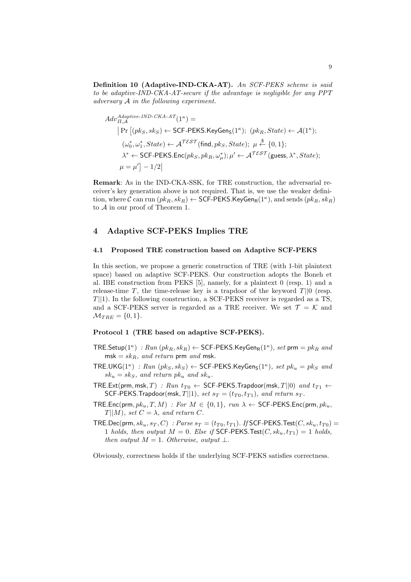**Definition 10 (Adaptive-IND-CKA-AT).** *An SCF-PEKS scheme is said to be adaptive-IND-CKA-AT-secure if the advantage is negligible for any PPT adversary A in the following experiment.*

$$
Adv_{\Pi,A}^{Adaptive\text{-}IND\text{-}CKA\text{-}AT}(1^{\kappa}) =
$$
\n
$$
|\Pr[(pk_S, sk_S) \leftarrow \text{SCF-PEKS.KeyGen}_{S}(1^{\kappa}); (pk_R, State) \leftarrow A(1^{\kappa});
$$
\n
$$
(\omega_0^*, \omega_1^*, State) \leftarrow A^{TEST}(\text{find}, pk_S, State); \mu \stackrel{\$}{\leftarrow} \{0, 1\};
$$
\n
$$
\lambda^* \leftarrow \text{SCF-PEKS}.\text{Enc}(pk_S, pk_R, \omega_\mu^*); \mu' \leftarrow A^{TEST}(\text{guess}, \lambda^*, State);
$$
\n
$$
\mu = \mu'] - 1/2|
$$

**Remark**: As in the IND-CKA-SSK, for TRE construction, the adversarial receiver's key generation above is not required. That is, we use the weaker definition, where  $\mathcal C$  can run  $(pk_R, sk_R) \leftarrow \textsf{SCF-PEKS}$ . KeyGen<sub>R</sub>(1<sup> $\kappa$ </sup>), and sends  $(pk_R, sk_R)$ to *A* in our proof of Theorem 1.

## **4 Adaptive SCF-PEKS Implies TRE**

#### **4.1 Proposed TRE construction based on Adaptive SCF-PEKS**

In this section, we propose a generic construction of TRE (with 1-bit plaintext space) based on adaptive SCF-PEKS. Our construction adopts the Boneh et al. IBE construction from PEKS [5], namely, for a plaintext 0 (resp. 1) and a release-time  $T$ , the time-release key is a trapdoor of the keyword  $T||0$  (resp. *T*<sup>|</sup>|1). In the following construction, a SCF-PEKS receiver is regarded as a TS, and a SCF-PEKS server is regarded as a TRE receiver. We set  $\mathcal{T} = \mathcal{K}$  and  $M_{TRE} = \{0, 1\}.$ 

## **Protocol 1 (TRE based on adaptive SCF-PEKS).**

- $\mathsf{TRE}.\mathsf{Setup}(1^{\kappa})\ : Run\ (pk_R, sk_R) \leftarrow \mathsf{SCF-PEKS}.\mathsf{KeyGen}_R(1^{\kappa}),\ set\ \mathsf{prm}=pk_R\ and$  $msk = skR$ *, and return* prm *and* msk.
- $TRE.UKG(1^{\kappa}) : Run(pkg, sk_S) \leftarrow SCF-PEKS.KeyGen_S(1^{\kappa}), set pk_u = pk_s and$  $sk_u = sk_S$ *, and return*  $pk_u$  *and*  $sk_u$ *.*
- $TRE.Ext(prm, msk, T)$  *: Run*  $t_{T0}$   $\leftarrow$  SCF-PEKS. Trapdoor(msk,  $T||0$ ) *and*  $t_{T1}$   $\leftarrow$ SCF-PEKS.Trapdoor(msk,  $T||1$ )*, set*  $s_T = (t_{T0}, t_{T1})$ *, and return*  $s_T$ *.*
- $TRE.Enc(prm, pk_u, T, M)$  *: For*  $M \in \{0, 1\}$ *, run*  $\lambda \leftarrow$  SCF-PEKS.Enc(prm*, pk<sub>u</sub>*,  $T||M$ *, set*  $C = \lambda$ *, and return*  $C$ *.*
- $TRE\cdot\text{Dec}(\text{prm}, sk_u, s_T, C)$  *: Parse*  $s_T = (t_{T0}, t_{T1})$ *. If* SCF-PEKS.Test $(C, sk_u, t_{T0})$  = 1 *holds, then output*  $M = 0$ *. Else if* SCF-PEKS. Test $(C, sk_u, t_{T1}) = 1$  *holds, then output*  $M = 1$ *. Otherwise, output*  $\perp$ *.*

Obviously, correctness holds if the underlying SCF-PEKS satisfies correctness.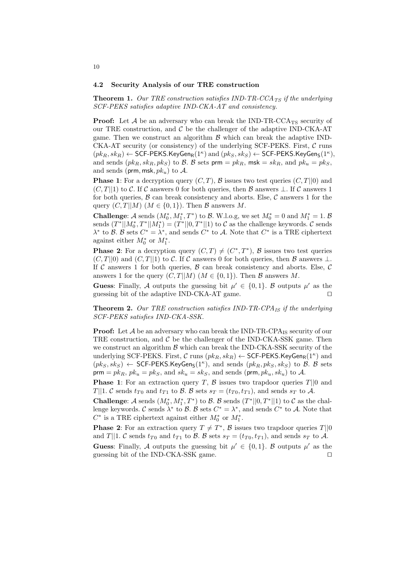#### **4.2 Security Analysis of our TRE construction**

**Theorem 1.** *Our TRE construction satisfies IND-TR-CCATS if the underlying SCF-PEKS satisfies adaptive IND-CKA-AT and consistency.*

**Proof:** Let  $\mathcal A$  be an adversary who can break the IND-TR-CCA<sub>TS</sub> security of our TRE construction, and  $\mathcal C$  be the challenger of the adaptive IND-CKA-AT game. Then we construct an algorithm  $\beta$  which can break the adaptive IND-CKA-AT security (or consistency) of the underlying SCF-PEKS. First, *C* runs  $(pk_R, sk_R) \leftarrow$  SCF-PEKS.KeyGen<sub>R</sub>(1<sup>*κ*</sup>)</sub> and  $(pk_S, sk_S) \leftarrow$  SCF-PEKS.KeyGen<sub>S</sub>(1<sup>*κ*</sup>), and sends  $(pk_R, sk_R, pk_S)$  to *B*. *B* sets prm =  $pk_R$ , msk =  $sk_R$ , and  $pk_u = pk_S$ , and sends (prm*,* msk*, pku*) to *A*.

**Phase 1**: For a decryption query  $(C, T)$ ,  $\beta$  issues two test queries  $(C, T||0)$  and  $(C, T||1)$  to *C*. If *C* answers 0 for both queries, then *B* answers *⊥*. If *C* answers 1 for both queries,  $\beta$  can break consistency and aborts. Else,  $\beta$  answers 1 for the query  $(C, T||M)$   $(M \in \{0, 1\})$ . Then *B* answers *M*.

**Challenge:** *A* sends  $(M_0^*, M_1^*, T^*)$  to *B*. W.l.o.g, we set  $M_0^* = 0$  and  $M_1^* = 1$ . *B* sends  $(T^*||M_0^*, T^*||M_1^*) = (T^*||0, T^*||1)$  to  $C$  as the challenge keywords.  $C$  sends  $\lambda^*$  to *B*. *B* sets  $C^* = \lambda^*$ , and sends  $C^*$  to *A*. Note that  $C^*$  is a TRE ciphertext against either  $M_0^*$  or  $M_1^*$ .

**Phase 2**: For a decryption query  $(C, T) \neq (C^*, T^*)$ , *B* issues two test queries  $(C, T||0)$  and  $(C, T||1)$  to  $C$ . If  $C$  answers 0 for both queries, then  $B$  answers  $\perp$ . If  $C$  answers 1 for both queries,  $B$  can break consistency and aborts. Else,  $C$ answers 1 for the query  $(C, T||M)$   $(M \in \{0, 1\})$ . Then *B* answers *M*.

**Guess**: Finally, A outputs the guessing bit  $\mu' \in \{0,1\}$ . B outputs  $\mu'$  as the guessing bit of the adaptive IND-CKA-AT game. *⊓⊔*

**Theorem 2.** *Our TRE construction satisfies IND-TR-CPAIS if the underlying SCF-PEKS satisfies IND-CKA-SSK.*

**Proof:** Let  $A$  be an adversary who can break the IND-TR-CPA<sub>IS</sub> security of our TRE construction, and  $\mathcal C$  be the challenger of the IND-CKA-SSK game. Then we construct an algorithm  $\beta$  which can break the IND-CKA-SSK security of the underlying SCF-PEKS. First,  $C$  runs  $(pk_R, sk_R) \leftarrow$  SCF-PEKS. KeyGen<sub>R</sub>(1<sup>*κ*</sup>) and  $(pk_S, sk_S) \leftarrow$  SCF-PEKS.KeyGen<sub>S</sub>(1<sup>*k*</sup>), and sends  $(pk_R, pk_S, sk_S)$  to *B*. *B* sets  $\mathsf{prim} = p k_R, \, p k_u = p k_S, \, \text{and} \, s k_u = s k_S, \, \text{and sends } (\mathsf{prim}, p k_u, s k_u) \text{ to } \mathcal{A}.$ 

**Phase 1**: For an extraction query *T*, *B* issues two trapdoor queries *T||*0 and *T*<sup>|</sup>|1. *C* sends  $t_{T0}$  and  $t_{T1}$  to *B*. *B* sets  $s_T = (t_{T0}, t_{T1})$ , and sends  $s_T$  to *A*.

**Challenge:** *A* sends  $(M_0^*, M_1^*, T^*)$  to *B*. *B* sends  $(T^*||0, T^*||1)$  to *C* as the challenge keywords. *C* sends  $\lambda^*$  to *B*. *B* sets  $C^* = \lambda^*$ , and sends  $C^*$  to *A*. Note that  $C^*$  is a TRE ciphertext against either  $M_0^*$  or  $M_1^*$ .

**Phase 2**: For an extraction query  $T \neq T^*$ ,  $\mathcal{B}$  issues two trapdoor queries  $T||0$ and *T*||1. *C* sends  $t_{T0}$  and  $t_{T1}$  to *B*. *B* sets  $s_T = (t_{T0}, t_{T1})$ , and sends  $s_T$  to *A*.

**Guess**: Finally, A outputs the guessing bit  $\mu' \in \{0,1\}$ . B outputs  $\mu'$  as the guessing bit of the IND-CKA-SSK game. *⊓⊔*

#### 10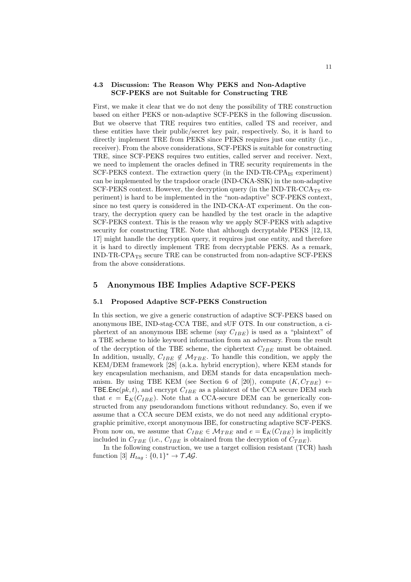#### **4.3 Discussion: The Reason Why PEKS and Non-Adaptive SCF-PEKS are not Suitable for Constructing TRE**

First, we make it clear that we do not deny the possibility of TRE construction based on either PEKS or non-adaptive SCF-PEKS in the following discussion. But we observe that TRE requires two entities, called TS and receiver, and these entities have their public/secret key pair, respectively. So, it is hard to directly implement TRE from PEKS since PEKS requires just one entity (i.e., receiver). From the above considerations, SCF-PEKS is suitable for constructing TRE, since SCF-PEKS requires two entities, called server and receiver. Next, we need to implement the oracles defined in TRE security requirements in the SCF-PEKS context. The extraction query (in the IND-TR-CPA<sub>IS</sub> experiment) can be implemented by the trapdoor oracle (IND-CKA-SSK) in the non-adaptive SCF-PEKS context. However, the decryption query (in the IND-TR-CCA<sub>TS</sub> experiment) is hard to be implemented in the "non-adaptive" SCF-PEKS context, since no test query is considered in the IND-CKA-AT experiment. On the contrary, the decryption query can be handled by the test oracle in the adaptive SCF-PEKS context. This is the reason why we apply SCF-PEKS with adaptive security for constructing TRE. Note that although decryptable PEKS [12, 13, 17] might handle the decryption query, it requires just one entity, and therefore it is hard to directly implement TRE from decryptable PEKS. As a remark, IND-TR-CPATS secure TRE can be constructed from non-adaptive SCF-PEKS from the above considerations.

## **5 Anonymous IBE Implies Adaptive SCF-PEKS**

#### **5.1 Proposed Adaptive SCF-PEKS Construction**

In this section, we give a generic construction of adaptive SCF-PEKS based on anonymous IBE, IND-stag-CCA TBE, and sUF OTS. In our construction, a ciphertext of an anonymous IBE scheme (say *CIBE*) is used as a "plaintext" of a TBE scheme to hide keyword information from an adversary. From the result of the decryption of the TBE scheme, the ciphertext *CIBE* must be obtained. In addition, usually,  $C_{IBE} \notin M_{TBE}$ . To handle this condition, we apply the KEM/DEM framework [28] (a.k.a. hybrid encryption), where KEM stands for key encapsulation mechanism, and DEM stands for data encapsulation mechanism. By using TBE KEM (see Section 6 of [20]), compute  $(K, C_{TBE}) \leftarrow$ TBE.Enc( $pk, t$ ), and encrypt  $C_{IBE}$  as a plaintext of the CCA secure DEM such that  $e = \mathsf{E}_K(C_{IBE})$ . Note that a CCA-secure DEM can be generically constructed from any pseudorandom functions without redundancy. So, even if we assume that a CCA secure DEM exists, we do not need any additional cryptographic primitive, except anonymous IBE, for constructing adaptive SCF-PEKS. From now on, we assume that  $C_{IBE} \in \mathcal{M}_{TBE}$  and  $e = \mathsf{E}_K(C_{IBE})$  is implicitly included in  $C_{TBE}$  (i.e.,  $C_{IBE}$  is obtained from the decryption of  $C_{TBE}$ ).

In the following construction, we use a target collision resistant (TCR) hash function [3]  $H_{tag}: \{0,1\}^* \to \mathcal{TAG}.$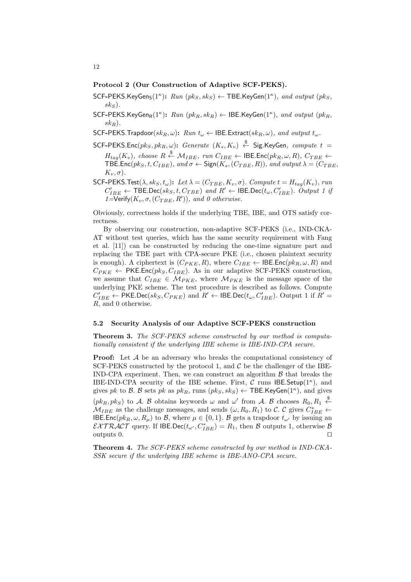#### **Protocol 2 (Our Construction of Adaptive SCF-PEKS).**

- $SCF-PEKS.KeyGen<sub>S</sub>(1<sup>*K*</sup>)$ :  $Run (pk<sub>S</sub>, sk<sub>S</sub>) \leftarrow TBE.KeyGen(1<sup>*K*</sup>)$ *, and output*  $(pk<sub>S</sub>,$  $sk<sub>S</sub>$ ).
- $SCF-PEKS$ *.KeyGen<sub>R</sub>*( $1^{\kappa}$ ):  $Run (pk_R, sk_R) \leftarrow IBE$ *.KeyGen*( $1^{\kappa}$ )*, and output* ( $pk_R$ *, skR*)*.*
- SCF-PEKS.Trapdoor( $sk_R, \omega$ ):  $Run t_\omega \leftarrow \text{IBE}$ .Extract( $sk_R, \omega$ ), and output  $t_\omega$ .
- $\mathsf{SCF\text{-}PEKS}$ .Enc $(pk_S, pk_R, \omega)$ :  $\mathit{Generate}(K_s, K_v) \overset{\$}{\leftarrow} \mathsf{Sig}$ .KeyGen,  $\mathit{compute}(t) = \emptyset$ *H*<sub>tag</sub>( $K_v$ )*, choose*  $R \stackrel{\$}{\leftarrow} \mathcal{M}_{IBE}$ *, run*  $C_{IBE}$  ← **IBE.Enc**( $pk_R, \omega, R$ )*,*  $C_{TBE}$  ←  $\mathsf{TBE}.\mathsf{Enc}(pk_S, t, C_{IBE}), \text{ and } \sigma \leftarrow \mathsf{Sign}(K_s,(C_{TBE}, R)), \text{ and } output \lambda = (C_{TBE},$  $K_v$ ,  $\sigma$ ).
- SCF-PEKS.Test $(\lambda, sk_S, t_\omega)$ : Let  $\lambda = (C_{TBE}, K_v, \sigma)$ . Compute  $t = H_{tag}(K_v)$ , run  $C'_{IBE} \leftarrow \textsf{TBE}.\textsf{Dec}(sk_S, t, C_{TBE})$  and  $R' \leftarrow \textsf{IDE}.\textsf{Dec}(t_\omega, C'_{IBE})$ *. Output 1 if 1*=Verify( $K_v$ ,  $\sigma$ , ( $C_{TBE}$ ,  $R'$ )), and 0 otherwise.

Obviously, correctness holds if the underlying TBE, IBE, and OTS satisfy correctness.

By observing our construction, non-adaptive SCF-PEKS (i.e., IND-CKA-AT without test queries, which has the same security requirement with Fang et al. [11]) can be constructed by reducing the one-time signature part and replacing the TBE part with CPA-secure PKE (i.e., chosen plaintext security is enough). A ciphertext is  $(C_{PKE}, R)$ , where  $C_{IBE} \leftarrow \text{IBE}.\text{Enc}(pk_R, \omega, R)$  and  $C_{PKE}$   $\leftarrow$  PKE*.Enc(pk<sub>S</sub></sub>, C<sub>IBE</sub>).* As in our adaptive SCF-PEKS construction, we assume that  $C_{IBE} \in M_{PKE}$ , where  $M_{PKE}$  is the message space of the underlying PKE scheme. The test procedure is described as follows. Compute  $C'_{IBE} \leftarrow \mathsf{PKE}.\mathsf{Dec}(sk_S, C_{PKE})$  and  $R' \leftarrow \mathsf{IBE}.\mathsf{Dec}(t_\omega, C'_{IBE})$ . Output 1 if  $R' =$ *R*, and 0 otherwise.

#### **5.2 Security Analysis of our Adaptive SCF-PEKS construction**

**Theorem 3.** *The SCF-PEKS scheme constructed by our method is computationally consistent if the underlying IBE scheme is IBE-IND-CPA secure.*

**Proof:** Let A be an adversary who breaks the computational consistency of SCF-PEKS constructed by the protocol 1, and  $C$  be the challenger of the IBE-IND-CPA experiment. Then, we can construct an algorithm *B* that breaks the IBE-IND-CPA security of the IBE scheme. First, *C* runs IBE*.*Setup(1*<sup>κ</sup>* ), and gives *pk* to *B*. *B* sets *pk* as  $pk_R$ , runs  $(pk_S, sk_S) \leftarrow \textsf{TBE}$ . KeyGen(1<sup>*K*</sup>), and gives  $(pk_R, pk_S)$  to *A*. *B* obtains keywords  $\omega$  and  $\omega'$  from *A*. *B* chooses  $R_0, R_1 \stackrel{\$}{\leftarrow}$  $M_{IBE}$  as the challenge messages, and sends  $(\omega, R_0, R_1)$  to *C*. *C* gives  $C_{IBE}^* \leftarrow$ IBE.Enc( $pk_R$ ,  $\omega$ ,  $R_\mu$ ) to *B*, where  $\mu \in \{0,1\}$ . *B* gets a trapdoor  $t_{\omega'}$  by issuing an  $\mathcal{E}\mathcal{X} \mathcal{T} \mathcal{R}\mathcal{A}\mathcal{C}\mathcal{T}$  query. If  $\mathsf{IBE}.\mathsf{Dec}(t_{\omega'}, C^*_{IBE}) = R_1$ , then  $\mathcal B$  outputs 1, otherwise  $\mathcal B$ outputs 0. *⊓⊔*

**Theorem 4.** *The SCF-PEKS scheme constructed by our method is IND-CKA-SSK secure if the underlying IBE scheme is IBE-ANO-CPA secure.*

#### 12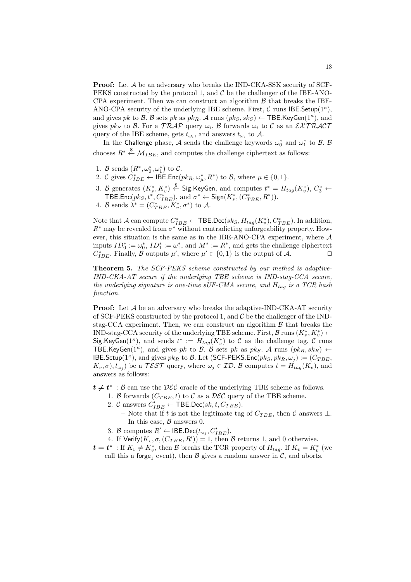**Proof:** Let A be an adversary who breaks the IND-CKA-SSK security of SCF-PEKS constructed by the protocol 1, and  $C$  be the challenger of the IBE-ANO-CPA experiment. Then we can construct an algorithm  $\beta$  that breaks the IBE-ANO-CPA security of the underlying IBE scheme. First, *C* runs IBE*.*Setup(1*<sup>κ</sup>* ), and gives *pk* to *B*. *B* sets *pk* as  $pk_R$ . *A* runs  $(pk_S, sk_S) \leftarrow \textsf{TBE}$ .KeyGen(1<sup>*k*</sup>), and gives  $pk_S$  to  $\beta$ . For a  $TRAP$  query  $\omega_i$ ,  $\beta$  forwards  $\omega_i$  to  $\mathcal C$  as an  $\mathcal {EXTRACT}$ query of the IBE scheme, gets  $t_{\omega_i}$ , and answers  $t_{\omega_i}$  to  $A$ .

In the Challenge phase,  $\mathcal A$  sends the challenge keywords  $\omega_0^*$  and  $\omega_1^*$  to  $\mathcal B$ .  $\mathcal B$ chooses  $R^* \stackrel{\$}{\leftarrow} \mathcal{M}_{IBE}$ , and computes the challenge ciphertext as follows:

- 1. *B* sends  $(R^*, \omega_0^*, \omega_1^*)$  to *C*.
- 2. *C* gives  $C_{IBE}^* \leftarrow \textsf{IDE}.\textsf{Enc}(pk_R, \omega_\mu^*, R^*)$  to *B*, where  $\mu \in \{0, 1\}$ .
- 3. *B* generates  $(K_s^*, K_v^*) \stackrel{\$}{\leftarrow}$  Sig.KeyGen, and computes  $t^* = H_{tag}(K_v^*), C_3^* \leftarrow$ **TBE.Enc**(*pk<sub>S</sub>*</sub>, *t*<sup>*∗*</sup>, *C*<sub>*\**</sub><sub>*BE*</sub>), and *σ*<sup>\*</sup> ← Sign(*K*<sub>*š*</sub></sub>, (*C*<sub>*†*<sub>*BE*</sub>, *R*<sup>\*</sup>)).</sub>
- 4. *B* sends  $\lambda^* = (C_{TBE}^*, K_v^*, \sigma^*)$  to *A*.

Note that *A* can compute  $C_{IBE}^* \leftarrow \textsf{TBE.Dec}(sk_S, H_{tag}(K_v^*), C_{TBE}^*).$  In addition,  $R^*$  may be revealed from  $\sigma^*$  without contradicting unforgeability property. However, this situation is the same as in the IBE-ANO-CPA experiment, where *A* inputs  $ID_0^* := \omega_0^*$ ,  $ID_1^* := \omega_1^*$ , and  $M^* := R^*$ , and gets the challenge ciphertext  $C_{IBE}^*$ . Finally, *B* outputs  $\mu'$ , where  $\mu' \in \{0,1\}$  is the output of *A*.  $\Box$ 

**Theorem 5.** *The SCF-PEKS scheme constructed by our method is adaptive-IND-CKA-AT secure if the underlying TBE scheme is IND-stag-CCA secure, the underlying signature is one-time sUF-CMA secure, and Htag is a TCR hash function.*

**Proof:** Let A be an adversary who breaks the adaptive-IND-CKA-AT security of SCF-PEKS constructed by the protocol 1, and *C* be the challenger of the INDstag-CCA experiment. Then, we can construct an algorithm *B* that breaks the IND-stag-CCA security of the underlying TBE scheme. First,  $\mathcal{B}$  runs  $(K_s^*, K_v^*) \leftarrow$ Sig.KeyGen(1<sup>*κ*</sup>), and sends  $t^* := H_{tag}(K_v^*)$  to  $C$  as the challenge tag.  $C$  runs TBE.KeyGen( $1<sup>\kappa</sup>$ ), and gives *pk* to *B*. *B* sets *pk* as *pk<sub>S</sub>*. *A* runs ( $pk<sub>R</sub>$ ,  $sk<sub>R</sub>$ )  $\leftarrow$ IBE.Setup(1<sup>*κ*</sup>), and gives  $pk_R$  to *B*. Let (SCF-PEKS.Enc( $pk_S, pk_R, \omega_j$ ) := ( $C_{TBE}$ ,  $K_v, \sigma$ ,  $t_{\omega_j}$ ) be a  $\mathcal{TEST}$  query, where  $\omega_j \in \mathcal{ID}$ . *B* computes  $t = H_{tag}(K_v)$ , and answers as follows:

 $t \neq t^* : \mathcal{B}$  can use the  $\mathcal{DEC}$  oracle of the underlying TBE scheme as follows.

- 1. *B* forwards  $(C_{TBE}, t)$  to *C* as a  $\mathcal{DEC}$  query of the TBE scheme.
	- 2. *C* answers  $C'_{IBE} \leftarrow \text{TBE.Dec}(sk, t, C_{TBE})$ .
		- Note that if *t* is not the legitimate tag of *CT BE*, then *C* answers *⊥*. In this case, *B* answers 0.
	- 3. *B* computes  $R' \leftarrow \mathsf{IBE.Dec}(t_{\omega_j}, C'_{IBE}).$
- 4. If  $Verify(K_v, \sigma, (C_{TBE}, R')) = 1$ , then *B* returns 1, and 0 otherwise.
- $t = t^*$ : If  $K_v \neq K_v^*$ , then *B* breaks the TCR property of  $H_{tag}$ . If  $K_v = K_v^*$  (we call this a forge<sub>1</sub> event), then  $\beta$  gives a random answer in  $\mathcal{C}$ , and aborts.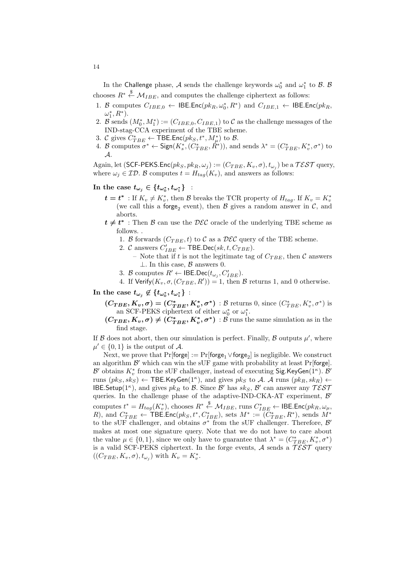In the Challenge phase,  $\mathcal A$  sends the challenge keywords  $\omega_0^*$  and  $\omega_1^*$  to  $\mathcal B$ .  $\mathcal B$ chooses  $R^* \overset{\$}{\leftarrow} \mathcal{M}_{IBE}$ , and computes the challenge ciphertext as follows:

- 1. *B* computes  $C_{IBE,0} \leftarrow \text{IBE}.\text{Enc}(pk_R, \omega_0^*, R^*)$  and  $C_{IBE,1} \leftarrow \text{IBE}.\text{Enc}(pk_R,$  $\omega_1^*, R^*$ ).
- 2. *B* sends  $(M_0^*, M_1^*) := (C_{IBE,0}, C_{IBE,1})$  to *C* as the challenge messages of the IND-stag-CCA experiment of the TBE scheme.
- 3. *C* gives  $C^*_{TBE} \leftarrow \textsf{TBE}.\textsf{Enc}(pk_S, t^*, M^*_{\mu})$  to *B*.
- 4. B computes  $\sigma^* \leftarrow \text{Sign}(K_s^*, (C_{TBE}^*, R^*)),$  and sends  $\lambda^* = (C_{TBE}^*, K_v^*, \sigma^*)$  to *A*.

 $\Delta$ gain, let (SCF-PEKS.Enc $(pk_S, pk_R, \omega_j) := (C_{TBE}, K_v, \sigma), t_{\omega_j})$  be a  $\mathcal{TEST}$  query, where  $\omega_j \in \mathcal{ID}$ . B computes  $t = H_{taq}(K_v)$ , and answers as follows:

## $\text{In the case } t_{\omega_j} \in \{t_{\omega_0^\ast}, t_{\omega_1^\ast}\}$  :

- $t = t^*$ : If  $K_v \neq K_v^*$ , then *B* breaks the TCR property of  $H_{tag}$ . If  $K_v = K_v^*$ (we call this a forge<sub>2</sub> event), then  $\beta$  gives a random answer in  $\mathcal{C}$ , and aborts.
- *t* ≠ *t*<sup>\*</sup> : Then *B* can use the *DEC* oracle of the underlying TBE scheme as follows. .
	- 1. *B* forwards  $(C_{TBE}, t)$  to *C* as a  $\mathcal{DEC}$  query of the TBE scheme.
	- 2. *C* answers  $C'_{IBE} \leftarrow \text{TBE.Dec}(sk, t, C_{TBE})$ .
		- Note that if *t* is not the legitimate tag of  $C_{TBE}$ , then *C* answers *⊥*. In this case, *B* answers 0.
	- 3. *B* computes  $R' \leftarrow \mathsf{IBE.Dec}(t_{\omega_j}, C'_{IBE}).$
	- 4. If  $Verify(K_v, \sigma, (C_{TBE}, R')) = 1$ , then  $\beta$  returns 1, and 0 otherwise.
- $\text{In the case } t_{\omega_j} \not\in \{t_{\omega_0^*}, t_{\omega_1^*}\}$  :
	- $(C_{TBE}, K_v, \sigma) = (C_{TBE}^*, K_v^*, \sigma^*)$  : B returns 0, since  $(C_{TBE}^*, K_v^*, \sigma^*)$  is an SCF-PEKS ciphertext of either  $\omega_0^*$  or  $\omega_1^*$ .
	- $(C_{TBE}, K_v, \sigma) \neq (C_{TBE}^*, K_v^*, \sigma^*) : \mathcal{B}$  runs the same simulation as in the find stage.

If  $\beta$  does not abort, then our simulation is perfect. Finally,  $\beta$  outputs  $\mu'$ , where  $\mu' \in \{0, 1\}$  is the output of  $\mathcal{A}$ .

Next, we prove that Pr[f**orge**] := Pr[**forge<sub>1</sub>** ∨ **forge<sub>2</sub>**] is negligible. We construct an algorithm *B ′* which can win the sUF game with probability at least Pr[forge]. *B*<sup> $\prime$ </sup> obtains  $K_v^*$  from the sUF challenger, instead of executing Sig.KeyGen(1<sup>*κ*</sup>). *B*<sup> $\prime$ </sup> runs  $(pk_S, sk_S) \leftarrow \textsf{TBE}$ *.KeyGen*(1<sup>*k*</sup>), and gives  $pk_S$  to *A*. *A* runs  $(pk_R, sk_R) \leftarrow$ IBE. Setup( $1^{\kappa}$ ), and gives  $pk_R$  to *B*. Since *B*<sup>'</sup> has  $sk_S$ , *B*<sup>'</sup> can answer any  $T\mathcal{E}ST$ queries. In the challenge phase of the adaptive-IND-CKA-AT experiment, *B ′* computes  $t^*=H_{tag}(K_v^*),$  chooses  $R^*\stackrel{\$}{\leftarrow}\mathcal{M}_{IBE},$  runs  $C_{IBE}^*\leftarrow\mathsf{IBE}.\mathsf{Enc}(pk_R,\omega_\mu,$ R), and  $C^*_{TBE} \leftarrow \textsf{TBE}.\textsf{Enc}(pk_S, t^*, C^*_{IBE})$ , sets  $M^* := (C^*_{TBE}, R^*)$ , sends  $M^*$ to the sUF challenger, and obtains  $\sigma^*$  from the sUF challenger. Therefore,  $\mathcal{B}'$ makes at most one signature query. Note that we do not have to care about the value  $\mu \in \{0, 1\}$ , since we only have to guarantee that  $\lambda^* = (C^*_{TBE}, K^*_v, \sigma^*)$ is a valid SCF-PEKS ciphertext. In the forge events, *A* sends a *T EST* query  $((C_{TBE}, K_v, \sigma), t_{\omega_j})$  with  $K_v = K_v^*$ .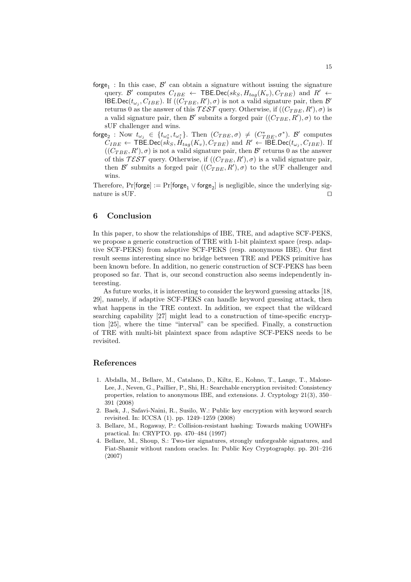- $f \circ g e_1$ : In this case,  $\mathcal{B}'$  can obtain a signature without issuing the signature  $\mathcal{C}_{IBE} \leftarrow \text{TBE}.\text{Dec}(sk_S, H_{tag}(K_v), C_{TBE})$  and  $R' \leftarrow \text{C}_{IBE}$  $\text{IBE.Dec}(t_{\omega_j}, C_{IBE})$ . If  $((C_{TBE}, R'), \sigma)$  is not a valid signature pair, then *B'* returns 0 as the answer of this  $\mathcal{TEST}$  query. Otherwise, if  $((C_{TBE}, R'), \sigma)$  is a valid signature pair, then  $\mathcal{B}'$  submits a forged pair  $((C_{TBE}, R'), \sigma)$  to the sUF challenger and wins.
- forge<sub>2</sub> : Now  $t_{\omega_j} \in \{t_{\omega_0^*}, t_{\omega_1^*}\}$ . Then  $(C_{TBE}, \sigma) \neq (C_{TBE}^*, \sigma^*)$ .  $\mathcal{B}'$  computes  $C_{IBE} \leftarrow \text{TBE}.\text{Dec}(sk_S, H_{tag}(K_v), C_{TBE})$  and  $R' \leftarrow \text{IBE}.\text{Dec}(t_{\omega_j}, C_{IBE})$ . If  $((C_{TBE}, R'), \sigma)$  is not a valid signature pair, then  $\mathcal{B}'$  returns 0 as the answer of this  $\mathcal{TEST}$  query. Otherwise, if  $((C_{TBE}, R'), \sigma)$  is a valid signature pair, then  $\mathcal{B}'$  submits a forged pair  $((C_{TBE}, R'), \sigma)$  to the sUF challenger and wins.

Therefore,  $Pr[\text{forget}] := Pr[\text{forget}_1 \vee \text{forget}_2]$  is negligible, since the underlying signature is sUF. *⊓⊔*

## **6 Conclusion**

In this paper, to show the relationships of IBE, TRE, and adaptive SCF-PEKS, we propose a generic construction of TRE with 1-bit plaintext space (resp. adaptive SCF-PEKS) from adaptive SCF-PEKS (resp. anonymous IBE). Our first result seems interesting since no bridge between TRE and PEKS primitive has been known before. In addition, no generic construction of SCF-PEKS has been proposed so far. That is, our second construction also seems independently interesting.

As future works, it is interesting to consider the keyword guessing attacks [18, 29], namely, if adaptive SCF-PEKS can handle keyword guessing attack, then what happens in the TRE context. In addition, we expect that the wildcard searching capability [27] might lead to a construction of time-specific encryption [25], where the time "interval" can be specified. Finally, a construction of TRE with multi-bit plaintext space from adaptive SCF-PEKS needs to be revisited.

## **References**

- 1. Abdalla, M., Bellare, M., Catalano, D., Kiltz, E., Kohno, T., Lange, T., Malone-Lee, J., Neven, G., Paillier, P., Shi, H.: Searchable encryption revisited: Consistency properties, relation to anonymous IBE, and extensions. J. Cryptology 21(3), 350– 391 (2008)
- 2. Baek, J., Safavi-Naini, R., Susilo, W.: Public key encryption with keyword search revisited. In: ICCSA (1). pp. 1249–1259 (2008)
- 3. Bellare, M., Rogaway, P.: Collision-resistant hashing: Towards making UOWHFs practical. In: CRYPTO. pp. 470–484 (1997)
- 4. Bellare, M., Shoup, S.: Two-tier signatures, strongly unforgeable signatures, and Fiat-Shamir without random oracles. In: Public Key Cryptography. pp. 201–216 (2007)